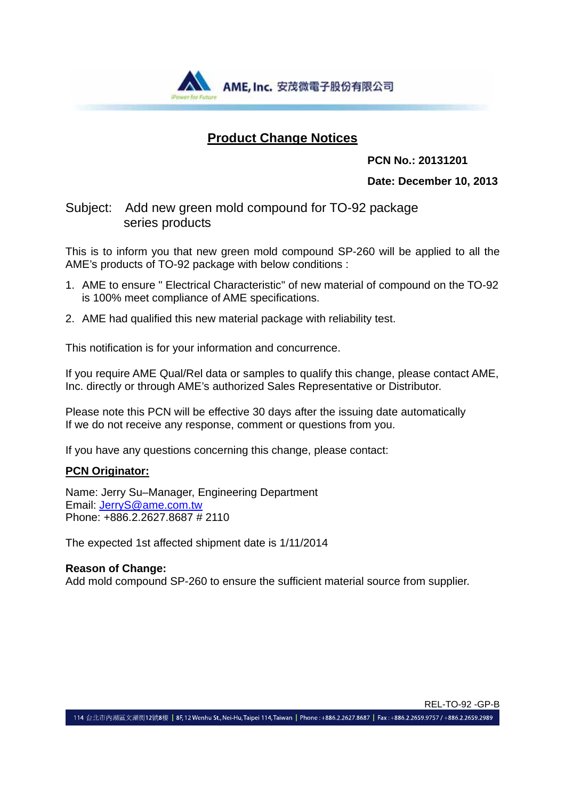

### **Product Change Notices**

#### **PCN No.: 20131201**

**Date: December 10, 2013**

#### Subject: Add new green mold compound for TO-92 package series products

This is to inform you that new green mold compound SP-260 will be applied to all the AME's products of TO-92 package with below conditions :

- 1. AME to ensure " Electrical Characteristic" of new material of compound on the TO-92 is 100% meet compliance of AME specifications.
- 2. AME had qualified this new material package with reliability test.

This notification is for your information and concurrence.

If you require AME Qual/Rel data or samples to qualify this change, please contact AME, Inc. directly or through AME's authorized Sales Representative or Distributor.

Please note this PCN will be effective 30 days after the issuing date automatically If we do not receive any response, comment or questions from you.

If you have any questions concerning this change, please contact:

#### **PCN Originator:**

Name: Jerry Su–Manager, Engineering Department Email: JerryS@ame.com.tw Phone: +886.2.2627.8687 # 2110

The expected 1st affected shipment date is 1/11/2014

#### **Reason of Change:**

Add mold compound SP-260 to ensure the sufficient material source from supplier.

114 台北市內湖區文湖街12號8樓 | 8F, 12 Wenhu St., Nei-Hu, Taipei 114, Taiwan | Phone : +886.2.2627.8687 | Fax : +886.2.2659.9757 / +886.2.2659.2989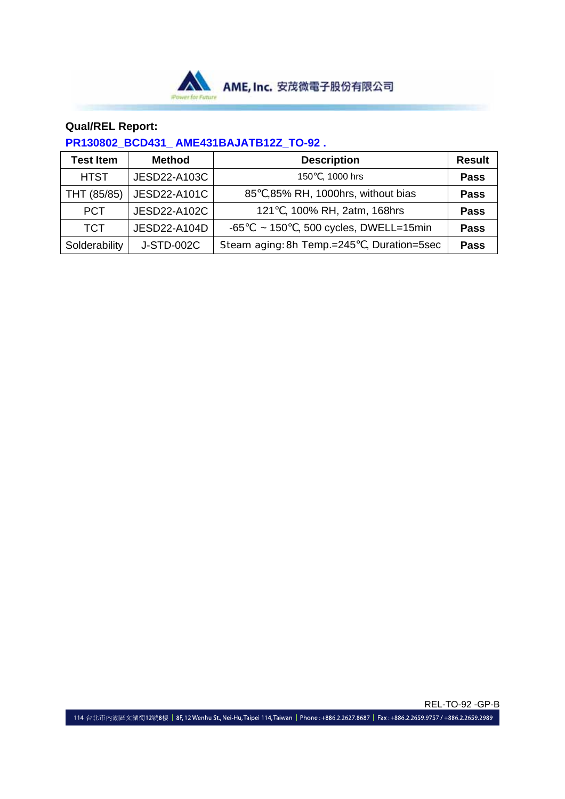

#### **Qual/REL Report:**

### **PR130802\_BCD431\_ AME431BAJATB12Z\_TO-92 .**

| <b>Test Item</b> | <b>Method</b> | <b>Description</b>                         | <b>Result</b> |
|------------------|---------------|--------------------------------------------|---------------|
| <b>HTST</b>      | JESD22-A103C  | 150, 1000 hrs                              | <b>Pass</b>   |
| THT (85/85)      | JESD22-A101C  | 85, 85% RH, 1000hrs, without bias          | <b>Pass</b>   |
| <b>PCT</b>       | JESD22-A102C  | 121, 100% RH, 2atm, 168hrs                 | <b>Pass</b>   |
| <b>TCT</b>       | JESD22-A104D  | , 500 cycles, DWELL=15min<br>$-65$<br>~150 | <b>Pass</b>   |
| Solderability    | J-STD-002C    | Steam aging: 8h Temp.=245, Duration=5sec   | <b>Pass</b>   |

REL-TO-92 -GP-B 114 台北市內湖區文湖街12號8樓 | 8F,12 Wenhu St., Nei-Hu, Taipei 114, Taiwan | Phone : +886.2.2627.8687 | Fax : +886.2.2659.9757 / +886.2.2659.2989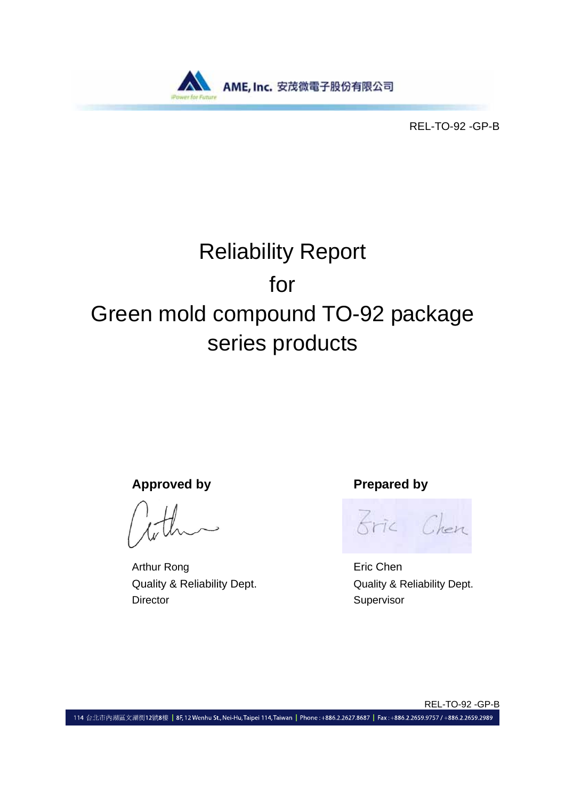

REL-TO-92 -GP-B

# Reliability Report for Green mold compound TO-92 package series products

Approved by **Prepared by** 

Arthur Rong **Executive Executive Chen** Quality & Reliability Dept. Quality & Reliability Dept. Director Supervisor

Bric Chen

REL-TO-92 -GP-B

114 台北市內湖區文湖街12號8樓 | 8F, 12 Wenhu St., Nei-Hu, Taipei 114, Taiwan | Phone: +886.2.2627.8687 | Fax: +886.2.2659.9757 / +886.2.2659.2989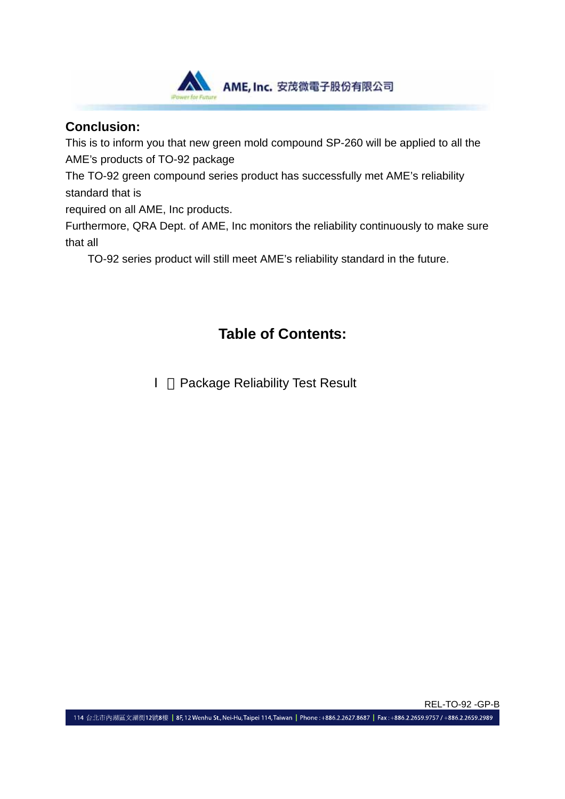

### **Conclusion:**

This is to inform you that new green mold compound SP-260 will be applied to all the AME's products of TO-92 package

The TO-92 green compound series product has successfully met AME's reliability standard that is

required on all AME, Inc products.

Furthermore, QRA Dept. of AME, Inc monitors the reliability continuously to make sure that all

TO-92 series product will still meet AME's reliability standard in the future.

# **Table of Contents:**

Package Reliability Test Result

REL-TO-92 -GP-B 114 台北市內湖區文湖街12號8樓 | 8F, 12 Wenhu St., Nei-Hu, Taipei 114, Taiwan | Phone: +886.2.2627.8687 | Fax: +886.2.2659.9757 / +886.2.2659.2989